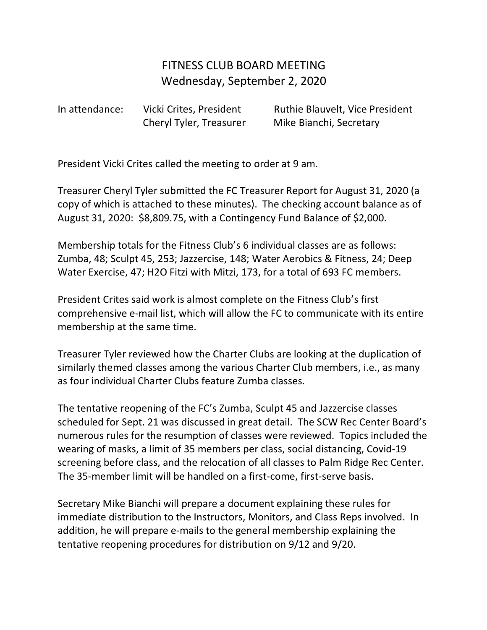## FITNESS CLUB BOARD MEETING Wednesday, September 2, 2020

In attendance: Vicki Crites, President Ruthie Blauvelt, Vice President Cheryl Tyler, Treasurer Mike Bianchi, Secretary

President Vicki Crites called the meeting to order at 9 am.

Treasurer Cheryl Tyler submitted the FC Treasurer Report for August 31, 2020 (a copy of which is attached to these minutes). The checking account balance as of August 31, 2020: \$8,809.75, with a Contingency Fund Balance of \$2,000.

Membership totals for the Fitness Club's 6 individual classes are as follows: Zumba, 48; Sculpt 45, 253; Jazzercise, 148; Water Aerobics & Fitness, 24; Deep Water Exercise, 47; H2O Fitzi with Mitzi, 173, for a total of 693 FC members.

President Crites said work is almost complete on the Fitness Club's first comprehensive e-mail list, which will allow the FC to communicate with its entire membership at the same time.

Treasurer Tyler reviewed how the Charter Clubs are looking at the duplication of similarly themed classes among the various Charter Club members, i.e., as many as four individual Charter Clubs feature Zumba classes.

The tentative reopening of the FC's Zumba, Sculpt 45 and Jazzercise classes scheduled for Sept. 21 was discussed in great detail. The SCW Rec Center Board's numerous rules for the resumption of classes were reviewed. Topics included the wearing of masks, a limit of 35 members per class, social distancing, Covid-19 screening before class, and the relocation of all classes to Palm Ridge Rec Center. The 35-member limit will be handled on a first-come, first-serve basis.

Secretary Mike Bianchi will prepare a document explaining these rules for immediate distribution to the Instructors, Monitors, and Class Reps involved. In addition, he will prepare e-mails to the general membership explaining the tentative reopening procedures for distribution on 9/12 and 9/20.